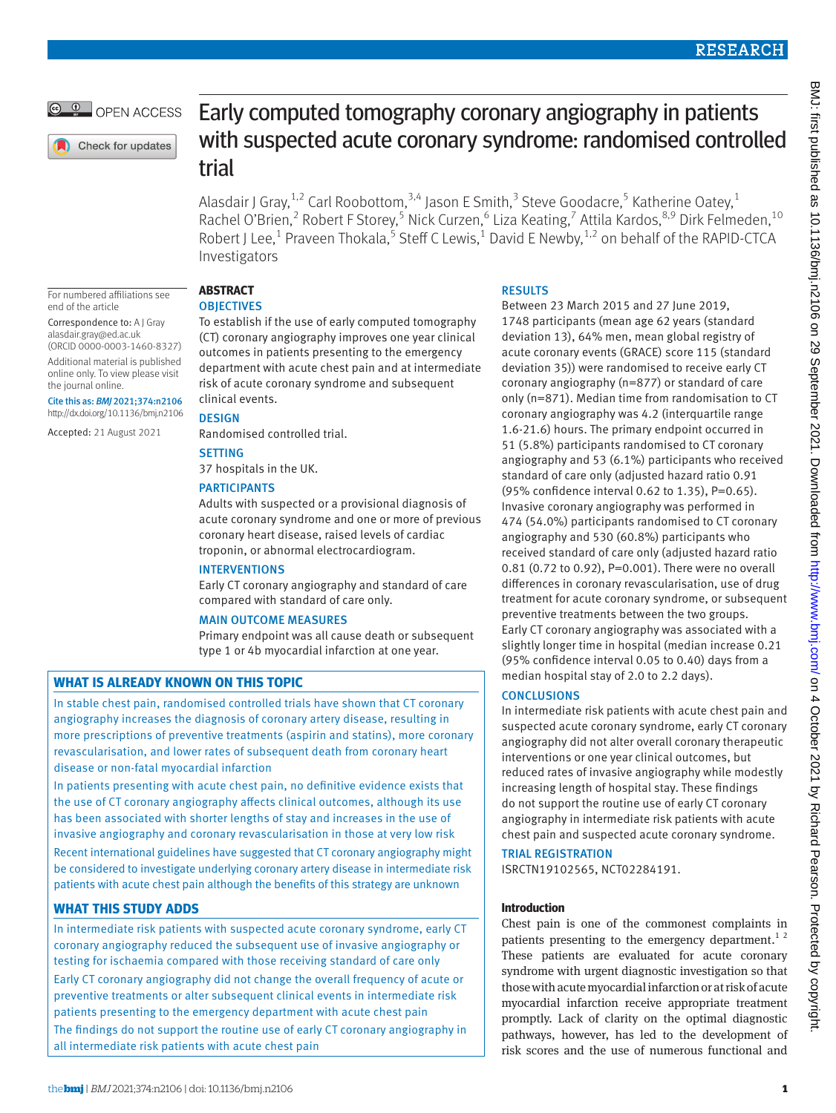OPEN ACCESS

Check for updates

# Early computed tomography coronary angiography in patients with suspected acute coronary syndrome: randomised controlled trial

Alasdair J Gray, <sup>1,2</sup> Carl Roobottom, <sup>3,4</sup> Jason E Smith, <sup>3</sup> Steve Goodacre, <sup>5</sup> Katherine Oatey, <sup>1</sup> Rachel O'Brien,<sup>2</sup> Robert F Storey,<sup>5</sup> Nick Curzen,<sup>6</sup> Liza Keating,<sup>7</sup> Attila Kardos,<sup>8,9</sup> Dirk Felmeden,<sup>10</sup> Robert J Lee,<sup>1</sup> Praveen Thokala,<sup>5</sup> Steff C Lewis,<sup>1</sup> David E Newby,<sup>1,2</sup> on behalf of the RAPID-CTCA Investigators

For numbered affiliations see end of the article

Correspondence to: A J Gray [alasdair.gray@ed.ac.uk](mailto:alasdair.gray@ed.ac.uk) (ORCID [0000-0003-1460-8327](https://orcid.org/0000-0003-1460-8327))

Additional material is published online only. To view please visit the journal online.

Cite this as: *BMJ* 2021;374:n2106 http://dx.doi.org/10.1136/bmj.n2106

Accepted: 21 August 2021

# **ABSTRACT**

# **OBJECTIVES**

To establish if the use of early computed tomography (CT) coronary angiography improves one year clinical outcomes in patients presenting to the emergency department with acute chest pain and at intermediate risk of acute coronary syndrome and subsequent clinical events.

**DESIGN** 

Randomised controlled trial.

# **SETTING**

37 hospitals in the UK.

# PARTICIPANTS

Adults with suspected or a provisional diagnosis of acute coronary syndrome and one or more of previous coronary heart disease, raised levels of cardiac troponin, or abnormal electrocardiogram.

### INTERVENTIONS

Early CT coronary angiography and standard of care compared with standard of care only.

### MAIN OUTCOME MEASURES

Primary endpoint was all cause death or subsequent type 1 or 4b myocardial infarction at one year.

# **WHAT IS ALREADY KNOWN ON THIS TOPIC**

In stable chest pain, randomised controlled trials have shown that CT coronary angiography increases the diagnosis of coronary artery disease, resulting in more prescriptions of preventive treatments (aspirin and statins), more coronary revascularisation, and lower rates of subsequent death from coronary heart disease or non-fatal myocardial infarction

In patients presenting with acute chest pain, no definitive evidence exists that the use of CT coronary angiography affects clinical outcomes, although its use has been associated with shorter lengths of stay and increases in the use of invasive angiography and coronary revascularisation in those at very low risk Recent international guidelines have suggested that CT coronary angiography might be considered to investigate underlying coronary artery disease in intermediate risk patients with acute chest pain although the benefits of this strategy are unknown

# **WHAT THIS STUDY ADDS**

In intermediate risk patients with suspected acute coronary syndrome, early CT coronary angiography reduced the subsequent use of invasive angiography or testing for ischaemia compared with those receiving standard of care only Early CT coronary angiography did not change the overall frequency of acute or preventive treatments or alter subsequent clinical events in intermediate risk patients presenting to the emergency department with acute chest pain The findings do not support the routine use of early CT coronary angiography in all intermediate risk patients with acute chest pain

# RESULTS

Between 23 March 2015 and 27 June 2019, 1748 participants (mean age 62 years (standard deviation 13), 64% men, mean global registry of acute coronary events (GRACE) score 115 (standard deviation 35)) were randomised to receive early CT coronary angiography (n=877) or standard of care only (n=871). Median time from randomisation to CT coronary angiography was 4.2 (interquartile range 1.6-21.6) hours. The primary endpoint occurred in 51 (5.8%) participants randomised to CT coronary angiography and 53 (6.1%) participants who received standard of care only (adjusted hazard ratio 0.91 (95% confidence interval 0.62 to 1.35), P=0.65). Invasive coronary angiography was performed in 474 (54.0%) participants randomised to CT coronary angiography and 530 (60.8%) participants who received standard of care only (adjusted hazard ratio 0.81 (0.72 to 0.92), P=0.001). There were no overall differences in coronary revascularisation, use of drug treatment for acute coronary syndrome, or subsequent preventive treatments between the two groups. Early CT coronary angiography was associated with a slightly longer time in hospital (median increase 0.21 (95% confidence interval 0.05 to 0.40) days from a median hospital stay of 2.0 to 2.2 days).

# **CONCLUSIONS**

In intermediate risk patients with acute chest pain and suspected acute coronary syndrome, early CT coronary angiography did not alter overall coronary therapeutic interventions or one year clinical outcomes, but reduced rates of invasive angiography while modestly increasing length of hospital stay. These findings do not support the routine use of early CT coronary angiography in intermediate risk patients with acute chest pain and suspected acute coronary syndrome.

# TRIAL REGISTRATION

[ISRCTN19102565,](file:///D:\BMJ%20Academic\Articles\bmj.n2106\Pre-editing\ISRCTN19102565) [NCT02284191.](file:///D:\BMJ%20Academic\Articles\bmj.n2106\Pre-editing\NCT02284191)

# **Introduction**

Chest pain is one of the commonest complaints in patients presenting to the emergency department.<sup>12</sup> These patients are evaluated for acute coronary syndrome with urgent diagnostic investigation so that those with acute myocardial infarction or at risk of acute myocardial infarction receive appropriate treatment promptly. Lack of clarity on the optimal diagnostic pathways, however, has led to the development of risk scores and the use of numerous functional and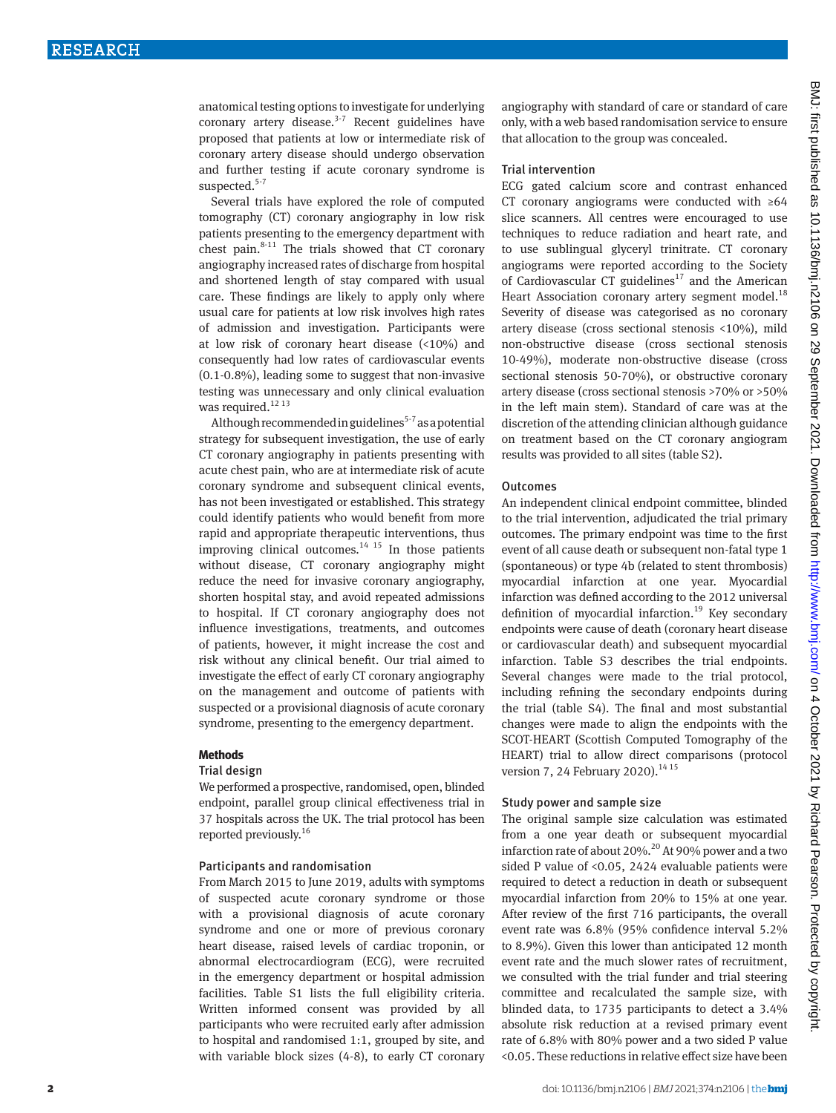anatomical testing options to investigate for underlying coronary artery disease. $3-7$  Recent guidelines have proposed that patients at low or intermediate risk of coronary artery disease should undergo observation and further testing if acute coronary syndrome is suspected.<sup>5-7</sup>

Several trials have explored the role of computed tomography (CT) coronary angiography in low risk patients presenting to the emergency department with chest pain. $8-11$  The trials showed that CT coronary angiography increased rates of discharge from hospital and shortened length of stay compared with usual care. These findings are likely to apply only where usual care for patients at low risk involves high rates of admission and investigation. Participants were at low risk of coronary heart disease (<10%) and consequently had low rates of cardiovascular events (0.1-0.8%), leading some to suggest that non-invasive testing was unnecessary and only clinical evaluation was required. $^{12}$   $^{13}$ 

Although recommended in guidelines<sup>5-7</sup> as a potential strategy for subsequent investigation, the use of early CT coronary angiography in patients presenting with acute chest pain, who are at intermediate risk of acute coronary syndrome and subsequent clinical events, has not been investigated or established. This strategy could identify patients who would benefit from more rapid and appropriate therapeutic interventions, thus improving clinical outcomes. $14$  15 In those patients without disease, CT coronary angiography might reduce the need for invasive coronary angiography, shorten hospital stay, and avoid repeated admissions to hospital. If CT coronary angiography does not influence investigations, treatments, and outcomes of patients, however, it might increase the cost and risk without any clinical benefit. Our trial aimed to investigate the effect of early CT coronary angiography on the management and outcome of patients with suspected or a provisional diagnosis of acute coronary syndrome, presenting to the emergency department.

#### **Methods**

#### Trial design

We performed a prospective, randomised, open, blinded endpoint, parallel group clinical effectiveness trial in 37 hospitals across the UK. The trial protocol has been reported previously.16

#### Participants and randomisation

From March 2015 to June 2019, adults with symptoms of suspected acute coronary syndrome or those with a provisional diagnosis of acute coronary syndrome and one or more of previous coronary heart disease, raised levels of cardiac troponin, or abnormal electrocardiogram (ECG), were recruited in the emergency department or hospital admission facilities. Table S1 lists the full eligibility criteria. Written informed consent was provided by all participants who were recruited early after admission to hospital and randomised 1:1, grouped by site, and with variable block sizes (4-8), to early CT coronary angiography with standard of care or standard of care only, with a web based randomisation service to ensure that allocation to the group was concealed.

#### Trial intervention

ECG gated calcium score and contrast enhanced CT coronary angiograms were conducted with ≥64 slice scanners. All centres were encouraged to use techniques to reduce radiation and heart rate, and to use sublingual glyceryl trinitrate. CT coronary angiograms were reported according to the Society of Cardiovascular CT guidelines<sup>17</sup> and the American Heart Association coronary artery segment model.<sup>18</sup> Severity of disease was categorised as no coronary artery disease (cross sectional stenosis <10%), mild non-obstructive disease (cross sectional stenosis 10-49%), moderate non-obstructive disease (cross sectional stenosis 50-70%), or obstructive coronary artery disease (cross sectional stenosis >70% or >50% in the left main stem). Standard of care was at the discretion of the attending clinician although guidance on treatment based on the CT coronary angiogram results was provided to all sites (table S2).

#### **Outcomes**

An independent clinical endpoint committee, blinded to the trial intervention, adjudicated the trial primary outcomes. The primary endpoint was time to the first event of all cause death or subsequent non-fatal type 1 (spontaneous) or type 4b (related to stent thrombosis) myocardial infarction at one year. Myocardial infarction was defined according to the 2012 universal definition of myocardial infarction.<sup>19</sup> Key secondary endpoints were cause of death (coronary heart disease or cardiovascular death) and subsequent myocardial infarction. Table S3 describes the trial endpoints. Several changes were made to the trial protocol, including refining the secondary endpoints during the trial (table S4). The final and most substantial changes were made to align the endpoints with the SCOT-HEART (Scottish Computed Tomography of the HEART) trial to allow direct comparisons (protocol version 7, 24 February 2020).<sup>14 15</sup>

#### Study power and sample size

The original sample size calculation was estimated from a one year death or subsequent myocardial infarction rate of about 20%.<sup>20</sup> At 90% power and a two sided P value of <0.05, 2424 evaluable patients were required to detect a reduction in death or subsequent myocardial infarction from 20% to 15% at one year. After review of the first 716 participants, the overall event rate was 6.8% (95% confidence interval 5.2% to 8.9%). Given this lower than anticipated 12 month event rate and the much slower rates of recruitment, we consulted with the trial funder and trial steering committee and recalculated the sample size, with blinded data, to 1735 participants to detect a 3.4% absolute risk reduction at a revised primary event rate of 6.8% with 80% power and a two sided P value <0.05. These reductions in relative effect size have been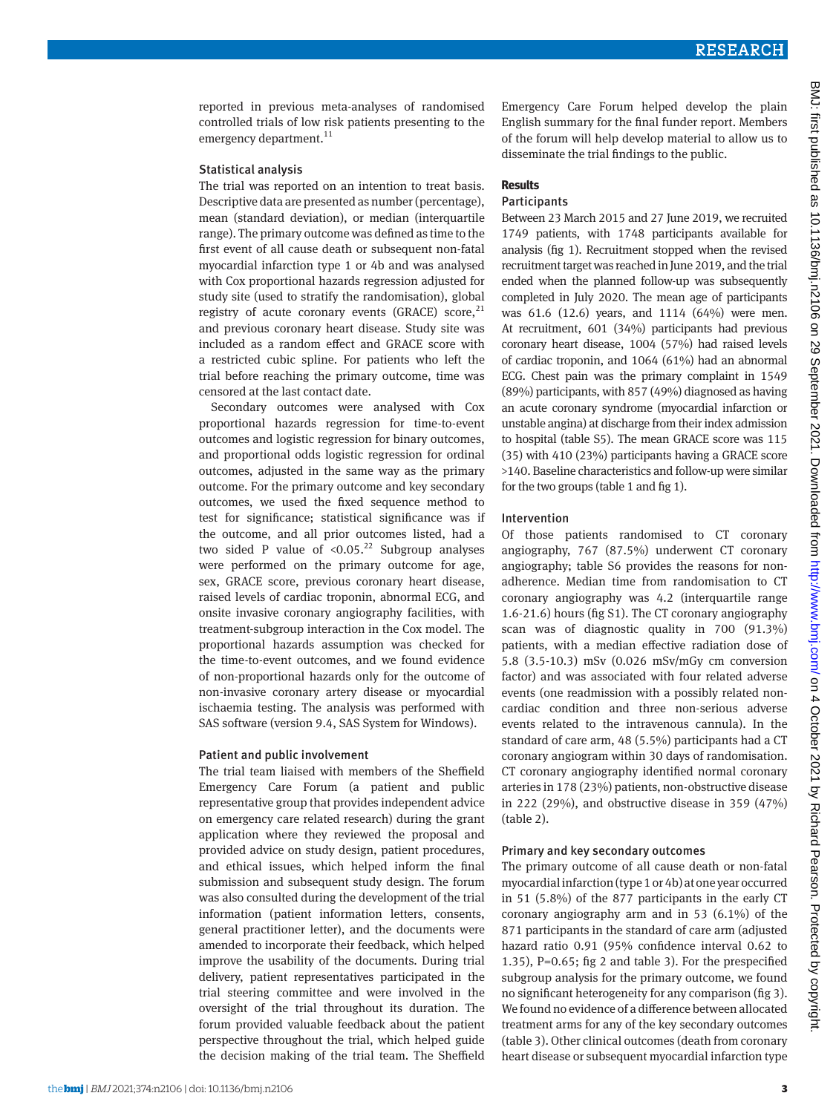reported in previous meta-analyses of randomised controlled trials of low risk patients presenting to the emergency department.<sup>11</sup>

#### Statistical analysis

The trial was reported on an intention to treat basis. Descriptive data are presented as number (percentage), mean (standard deviation), or median (interquartile range). The primary outcome was defined as time to the first event of all cause death or subsequent non-fatal myocardial infarction type 1 or 4b and was analysed with Cox proportional hazards regression adjusted for study site (used to stratify the randomisation), global registry of acute coronary events (GRACE) score,  $21$ and previous coronary heart disease. Study site was included as a random effect and GRACE score with a restricted cubic spline. For patients who left the trial before reaching the primary outcome, time was censored at the last contact date.

Secondary outcomes were analysed with Cox proportional hazards regression for time-to-event outcomes and logistic regression for binary outcomes, and proportional odds logistic regression for ordinal outcomes, adjusted in the same way as the primary outcome. For the primary outcome and key secondary outcomes, we used the fixed sequence method to test for significance; statistical significance was if the outcome, and all prior outcomes listed, had a two sided P value of  $\leq 0.05$ .<sup>22</sup> Subgroup analyses were performed on the primary outcome for age, sex, GRACE score, previous coronary heart disease, raised levels of cardiac troponin, abnormal ECG, and onsite invasive coronary angiography facilities, with treatment-subgroup interaction in the Cox model. The proportional hazards assumption was checked for the time-to-event outcomes, and we found evidence of non-proportional hazards only for the outcome of non-invasive coronary artery disease or myocardial ischaemia testing. The analysis was performed with SAS software (version 9.4, SAS System for Windows).

#### Patient and public involvement

The trial team liaised with members of the Sheffield Emergency Care Forum (a patient and public representative group that provides independent advice on emergency care related research) during the grant application where they reviewed the proposal and provided advice on study design, patient procedures, and ethical issues, which helped inform the final submission and subsequent study design. The forum was also consulted during the development of the trial information (patient information letters, consents, general practitioner letter), and the documents were amended to incorporate their feedback, which helped improve the usability of the documents. During trial delivery, patient representatives participated in the trial steering committee and were involved in the oversight of the trial throughout its duration. The forum provided valuable feedback about the patient perspective throughout the trial, which helped guide the decision making of the trial team. The Sheffield

Emergency Care Forum helped develop the plain English summary for the final funder report. Members of the forum will help develop material to allow us to disseminate the trial findings to the public.

#### **Results**

# Participants

Between 23 March 2015 and 27 June 2019, we recruited 1749 patients, with 1748 participants available for analysis (fig 1). Recruitment stopped when the revised recruitment target was reached in June 2019, and the trial ended when the planned follow-up was subsequently completed in July 2020. The mean age of participants was 61.6 (12.6) years, and 1114 (64%) were men. At recruitment, 601 (34%) participants had previous coronary heart disease, 1004 (57%) had raised levels of cardiac troponin, and 1064 (61%) had an abnormal ECG. Chest pain was the primary complaint in 1549 (89%) participants, with 857 (49%) diagnosed as having an acute coronary syndrome (myocardial infarction or unstable angina) at discharge from their index admission to hospital (table S5). The mean GRACE score was 115 (35) with 410 (23%) participants having a GRACE score >140. Baseline characteristics and follow-up were similar for the two groups (table 1 and fig 1).

#### Intervention

Of those patients randomised to CT coronary angiography, 767 (87.5%) underwent CT coronary angiography; table S6 provides the reasons for nonadherence. Median time from randomisation to CT coronary angiography was 4.2 (interquartile range 1.6-21.6) hours (fig S1). The CT coronary angiography scan was of diagnostic quality in 700 (91.3%) patients, with a median effective radiation dose of 5.8 (3.5-10.3) mSv (0.026 mSv/mGy cm conversion factor) and was associated with four related adverse events (one readmission with a possibly related noncardiac condition and three non-serious adverse events related to the intravenous cannula). In the standard of care arm, 48 (5.5%) participants had a CT coronary angiogram within 30 days of randomisation. CT coronary angiography identified normal coronary arteries in 178 (23%) patients, non-obstructive disease in 222 (29%), and obstructive disease in 359 (47%) (table 2).

#### Primary and key secondary outcomes

The primary outcome of all cause death or non-fatal myocardial infarction (type 1 or 4b) at one year occurred in 51 (5.8%) of the 877 participants in the early CT coronary angiography arm and in 53 (6.1%) of the 871 participants in the standard of care arm (adjusted hazard ratio 0.91 (95% confidence interval 0.62 to 1.35), P=0.65; fig 2 and table 3). For the prespecified subgroup analysis for the primary outcome, we found no significant heterogeneity for any comparison (fig 3). We found no evidence of a difference between allocated treatment arms for any of the key secondary outcomes (table 3). Other clinical outcomes (death from coronary heart disease or subsequent myocardial infarction type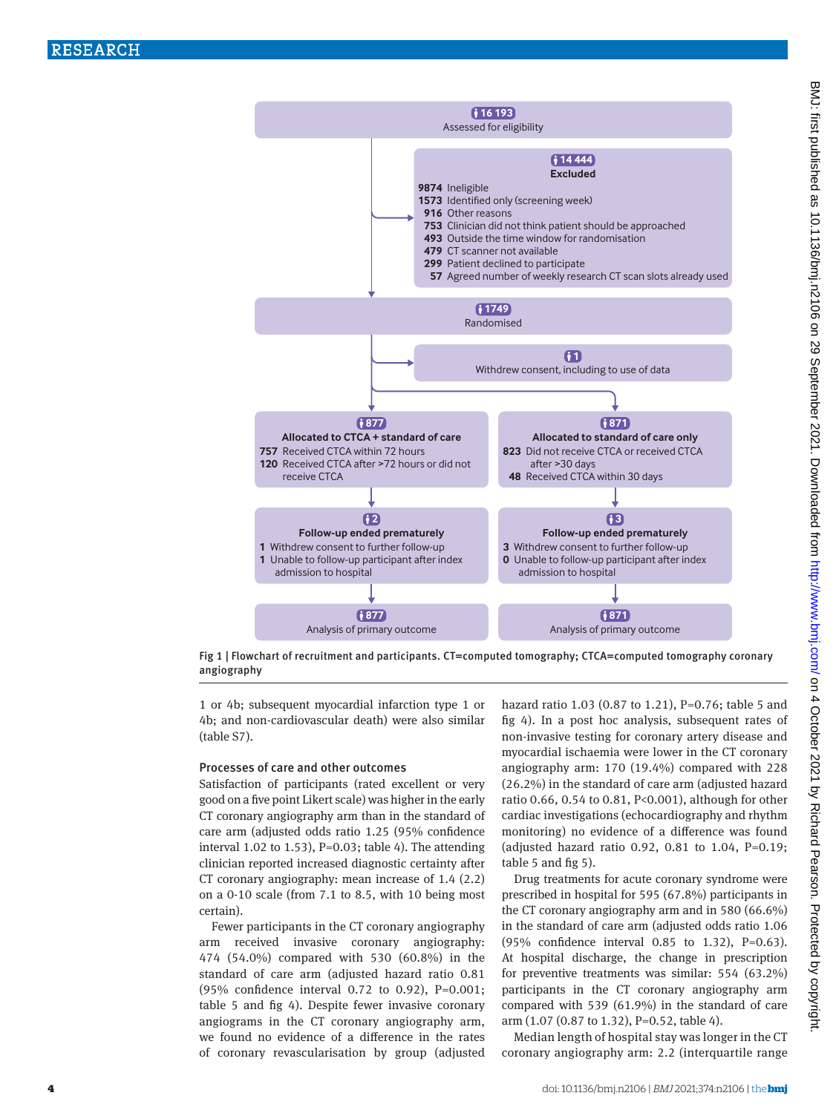



1 or 4b; subsequent myocardial infarction type 1 or 4b; and non-cardiovascular death) were also similar (table S7).

#### Processes of care and other outcomes

Satisfaction of participants (rated excellent or very good on a five point Likert scale) was higher in the early CT coronary angiography arm than in the standard of care arm (adjusted odds ratio 1.25 (95% confidence interval 1.02 to 1.53),  $P=0.03$ ; table 4). The attending clinician reported increased diagnostic certainty after CT coronary angiography: mean increase of 1.4 (2.2) on a 0-10 scale (from 7.1 to 8.5, with 10 being most certain).

Fewer participants in the CT coronary angiography arm received invasive coronary angiography: 474 (54.0%) compared with 530 (60.8%) in the standard of care arm (adjusted hazard ratio 0.81 (95% confidence interval 0.72 to 0.92), P=0.001; table 5 and fig 4). Despite fewer invasive coronary angiograms in the CT coronary angiography arm, we found no evidence of a difference in the rates of coronary revascularisation by group (adjusted hazard ratio 1.03 (0.87 to 1.21), P=0.76; table 5 and fig 4). In a post hoc analysis, subsequent rates of non-invasive testing for coronary artery disease and myocardial ischaemia were lower in the CT coronary angiography arm: 170 (19.4%) compared with 228 (26.2%) in the standard of care arm (adjusted hazard ratio 0.66, 0.54 to 0.81, P<0.001), although for other cardiac investigations (echocardiography and rhythm monitoring) no evidence of a difference was found (adjusted hazard ratio 0.92, 0.81 to 1.04, P=0.19; table 5 and fig 5).

Drug treatments for acute coronary syndrome were prescribed in hospital for 595 (67.8%) participants in the CT coronary angiography arm and in 580 (66.6%) in the standard of care arm (adjusted odds ratio 1.06 (95% confidence interval 0.85 to 1.32), P=0.63). At hospital discharge, the change in prescription for preventive treatments was similar: 554 (63.2%) participants in the CT coronary angiography arm compared with 539 (61.9%) in the standard of care arm (1.07 (0.87 to 1.32), P=0.52, table 4).

Median length of hospital stay was longer in the CT coronary angiography arm: 2.2 (interquartile range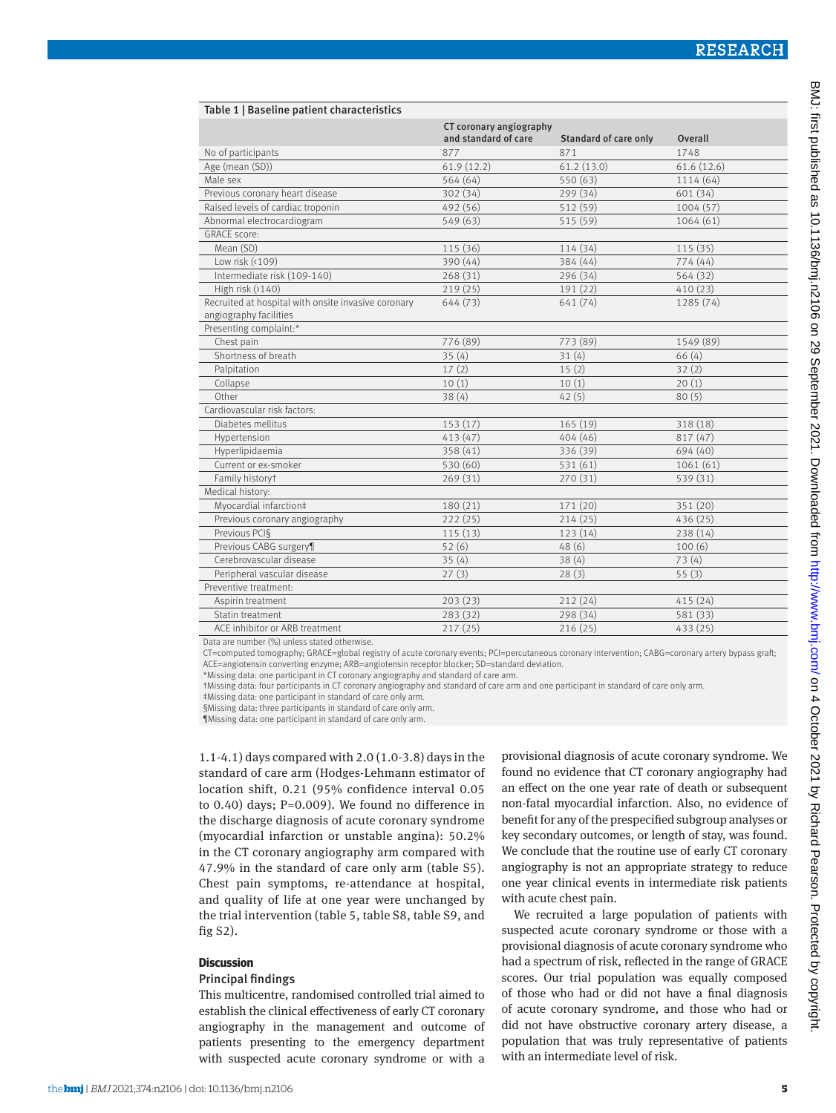| Table 1   Baseline patient characteristics                                    |                                                 |                       |                |
|-------------------------------------------------------------------------------|-------------------------------------------------|-----------------------|----------------|
|                                                                               | CT coronary angiography<br>and standard of care | Standard of care only | <b>Overall</b> |
| No of participants                                                            | 877                                             | 871                   | 1748           |
| Age (mean (SD))                                                               | 61.9(12.2)                                      | 61.2(13.0)            | 61.6(12.6)     |
| Male sex                                                                      | 564 (64)                                        | 550 (63)              | 1114 (64)      |
| Previous coronary heart disease                                               | 302 (34)                                        | 299 (34)              | 601 (34)       |
| Raised levels of cardiac troponin                                             | 492 (56)                                        | 512 (59)              | 1004(57)       |
| Abnormal electrocardiogram                                                    | 549 (63)                                        | 515 (59)              | 1064(61)       |
| <b>GRACE</b> score:                                                           |                                                 |                       |                |
| Mean (SD)                                                                     | 115 (36)                                        | 114 (34)              | 115(35)        |
| Low risk (<109)                                                               | 390 (44)                                        | 384 (44)              | 774(44)        |
| Intermediate risk (109-140)                                                   | 268(31)                                         | 296 (34)              | 564 (32)       |
| High risk $(2140)$                                                            | 219(25)                                         | 191 (22)              | 410(23)        |
| Recruited at hospital with onsite invasive coronary<br>angiography facilities | 644 (73)                                        | 641 (74)              | 1285 (74)      |
| Presenting complaint:*                                                        |                                                 |                       |                |
| Chest pain                                                                    | 776 (89)                                        | 773 (89)              | 1549 (89)      |
| Shortness of breath                                                           | 35(4)                                           | 31(4)                 | 66(4)          |
| Palpitation                                                                   | 17(2)                                           | 15(2)                 | 32(2)          |
| Collapse                                                                      | 10(1)                                           | 10(1)                 | 20(1)          |
| Other                                                                         | 38(4)                                           | 42(5)                 | 80(5)          |
| Cardiovascular risk factors:                                                  |                                                 |                       |                |
| Diabetes mellitus                                                             | 153(17)                                         | 165(19)               | 318 (18)       |
| Hypertension                                                                  | 413(47)                                         | 404(46)               | 817 (47)       |
| Hyperlipidaemia                                                               | 358 (41)                                        | 336 (39)              | 694 (40)       |
| Current or ex-smoker                                                          | 530 (60)                                        | 531 (61)              | 1061(61)       |
| Family historyt                                                               | 269(31)                                         | 270 (31)              | 539 (31)       |
| Medical history:                                                              |                                                 |                       |                |
| Myocardial infarction‡                                                        | 180(21)                                         | 171 (20)              | 351 (20)       |
| Previous coronary angiography                                                 | 222(25)                                         | 214(25)               | 436(25)        |
| Previous PCI§                                                                 | 115(13)                                         | 123 (14)              | 238 (14)       |
| Previous CABG surgery¶                                                        | 52(6)                                           | 48(6)                 | 100(6)         |
| Cerebrovascular disease                                                       | 35(4)                                           | 38(4)                 | 73(4)          |
| Peripheral vascular disease                                                   | 27(3)                                           | 28(3)                 | 55(3)          |
| Preventive treatment:                                                         |                                                 |                       |                |
| Aspirin treatment                                                             | 203(23)                                         | 212(24)               | 415(24)        |
| Statin treatment                                                              | 283 (32)                                        | 298 (34)              | 581 (33)       |
| ACE inhibitor or ARB treatment                                                | 217(25)                                         | 216(25)               | 433 (25)       |

Data are number (%) unless stated otherwise.

CT=computed tomography; GRACE=global registry of acute coronary events; PCI=percutaneous coronary intervention; CABG=coronary artery bypass graft;

ACE=angiotensin converting enzyme; ARB=angiotensin receptor blocker; SD=standard deviation.

\*Missing data: one participant in CT coronary angiography and standard of care arm.

†Missing data: four participants in CT coronary angiography and standard of care arm and one participant in standard of care only arm.

‡Missing data: one participant in standard of care only arm.

§Missing data: three participants in standard of care only arm

¶Missing data: one participant in standard of care only arm.

1.1-4.1) days compared with 2.0 (1.0-3.8) days in the standard of care arm (Hodges-Lehmann estimator of location shift, 0.21 (95% confidence interval 0.05 to 0.40) days; P=0.009). We found no difference in the discharge diagnosis of acute coronary syndrome (myocardial infarction or unstable angina): 50.2% in the CT coronary angiography arm compared with 47.9% in the standard of care only arm (table S5). Chest pain symptoms, re-attendance at hospital, and quality of life at one year were unchanged by the trial intervention (table 5, table S8, table S9, and fig S2).

#### **Discussion**

#### Principal findings

This multicentre, randomised controlled trial aimed to establish the clinical effectiveness of early CT coronary angiography in the management and outcome of patients presenting to the emergency department with suspected acute coronary syndrome or with a

provisional diagnosis of acute coronary syndrome. We found no evidence that CT coronary angiography had an effect on the one year rate of death or subsequent non-fatal myocardial infarction. Also, no evidence of benefit for any of the prespecified subgroup analyses or key secondary outcomes, or length of stay, was found. We conclude that the routine use of early CT coronary angiography is not an appropriate strategy to reduce one year clinical events in intermediate risk patients with acute chest pain.

We recruited a large population of patients with suspected acute coronary syndrome or those with a provisional diagnosis of acute coronary syndrome who had a spectrum of risk, reflected in the range of GRACE scores. Our trial population was equally composed of those who had or did not have a final diagnosis of acute coronary syndrome, and those who had or did not have obstructive coronary artery disease, a population that was truly representative of patients with an intermediate level of risk.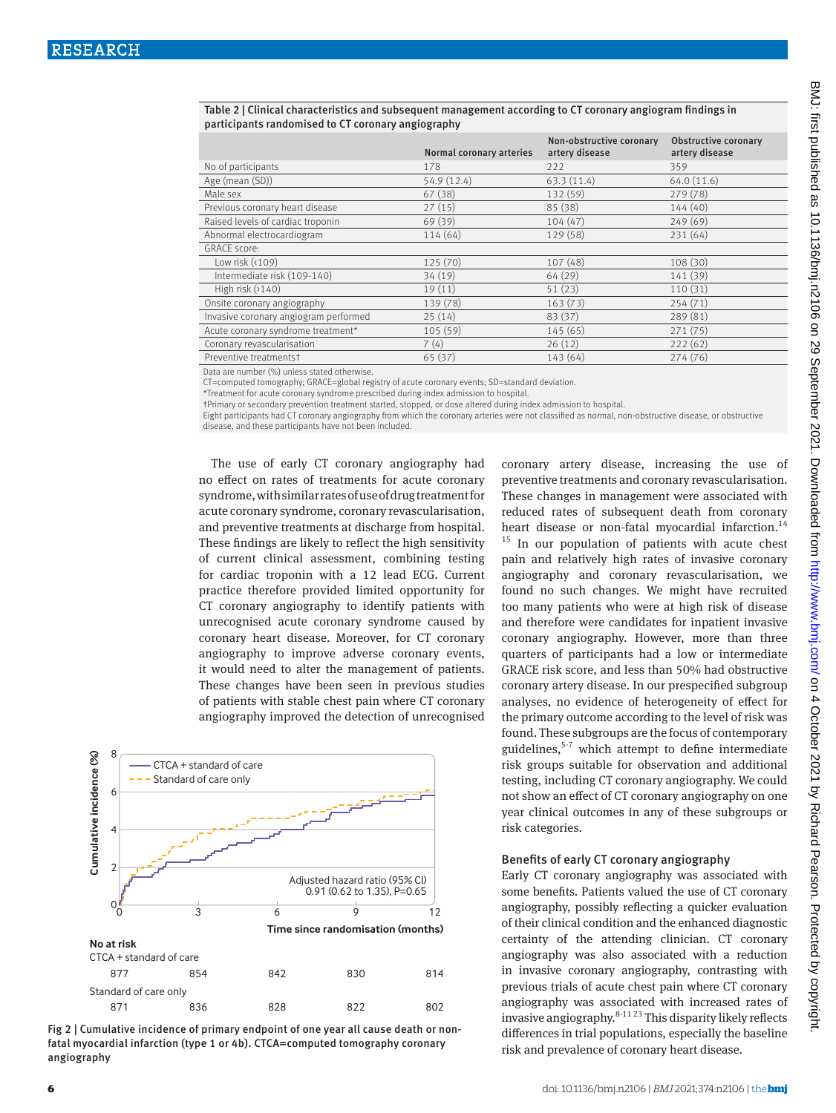|                                       | Normal coronary arteries | Non-obstructive coronary<br>artery disease | <b>Obstructive coronary</b><br>artery disease |
|---------------------------------------|--------------------------|--------------------------------------------|-----------------------------------------------|
| No of participants                    | 178                      | 222                                        | 359                                           |
| Age (mean (SD))                       | 54.9 (12.4)              | 63.3(11.4)                                 | 64.0 (11.6)                                   |
| Male sex                              | 67 (38)                  | 132 (59)                                   | 279(78)                                       |
| Previous coronary heart disease       | 27(15)                   | 85(38)                                     | 144(40)                                       |
| Raised levels of cardiac troponin     | 69 (39)                  | 104(47)                                    | 249(69)                                       |
| Abnormal electrocardiogram            | 114 (64)                 | 129(58)                                    | 231(64)                                       |
| <b>GRACE score:</b>                   |                          |                                            |                                               |
| Low risk $(109)$                      | 125 (70)                 | 107(48)                                    | 108(30)                                       |
| Intermediate risk (109-140)           | 34 (19)                  | 64(29)                                     | 141 (39)                                      |
| High risk $(2140)$                    | 19(11)                   | 51(23)                                     | 110(31)                                       |
| Onsite coronary angiography           | 139 (78)                 | 163(73)                                    | 254(71)                                       |
| Invasive coronary angiogram performed | 25(14)                   | 83(37)                                     | 289(81)                                       |
| Acute coronary syndrome treatment*    | 105 (59)                 | 145(65)                                    | 271(75)                                       |
| Coronary revascularisation            | 7(4)                     | 26(12)                                     | 222(62)                                       |
| Preventive treatmentst                | 65 (37)                  | 143(64)                                    | 274(76)                                       |

Table 2 | Clinical characteristics and subsequent management according to CT coronary angiogram findings in participants randomised to CT coronary angiography

Data are number (%) unless stated otherwise.

CT=computed tomography; GRACE=global registry of acute coronary events; SD=standard deviation.

\*Treatment for acute coronary syndrome prescribed during index admission to hospital.

†Primary or secondary prevention treatment started, stopped, or dose altered during index admission to hospital.

Eight participants had CT coronary angiography from which the coronary arteries were not classified as normal, non-obstructive disease, or obstructive disease, and these participants have not been included.

The use of early CT coronary angiography had no effect on rates of treatments for acute coronary syndrome, with similar rates of use of drug treatment for acute coronary syndrome, coronary revascularisation, and preventive treatments at discharge from hospital. These findings are likely to reflect the high sensitivity of current clinical assessment, combining testing for cardiac troponin with a 12 lead ECG. Current practice therefore provided limited opportunity for CT coronary angiography to identify patients with unrecognised acute coronary syndrome caused by coronary heart disease. Moreover, for CT coronary angiography to improve adverse coronary events, it would need to alter the management of patients. These changes have been seen in previous studies of patients with stable chest pain where CT coronary angiography improved the detection of unrecognised



Fig 2 | Cumulative incidence of primary endpoint of one year all cause death or nonfatal myocardial infarction (type 1 or 4b). CTCA=computed tomography coronary angiography

coronary artery disease, increasing the use of preventive treatments and coronary revascularisation. These changes in management were associated with reduced rates of subsequent death from coronary heart disease or non-fatal myocardial infarction.<sup>14</sup>  $15$  In our population of patients with acute chest pain and relatively high rates of invasive coronary angiography and coronary revascularisation, we found no such changes. We might have recruited too many patients who were at high risk of disease and therefore were candidates for inpatient invasive coronary angiography. However, more than three quarters of participants had a low or intermediate GRACE risk score, and less than 50% had obstructive coronary artery disease. In our prespecified subgroup analyses, no evidence of heterogeneity of effect for the primary outcome according to the level of risk was found. These subgroups are the focus of contemporary guidelines, $5-7$  which attempt to define intermediate risk groups suitable for observation and additional testing, including CT coronary angiography. We could not show an effect of CT coronary angiography on one year clinical outcomes in any of these subgroups or risk categories.

### Benefits of early CT coronary angiography

Early CT coronary angiography was associated with some benefits. Patients valued the use of CT coronary angiography, possibly reflecting a quicker evaluation of their clinical condition and the enhanced diagnostic certainty of the attending clinician. CT coronary angiography was also associated with a reduction in invasive coronary angiography, contrasting with previous trials of acute chest pain where CT coronary angiography was associated with increased rates of invasive angiography.8-11 23 This disparity likely reflects differences in trial populations, especially the baseline risk and prevalence of coronary heart disease.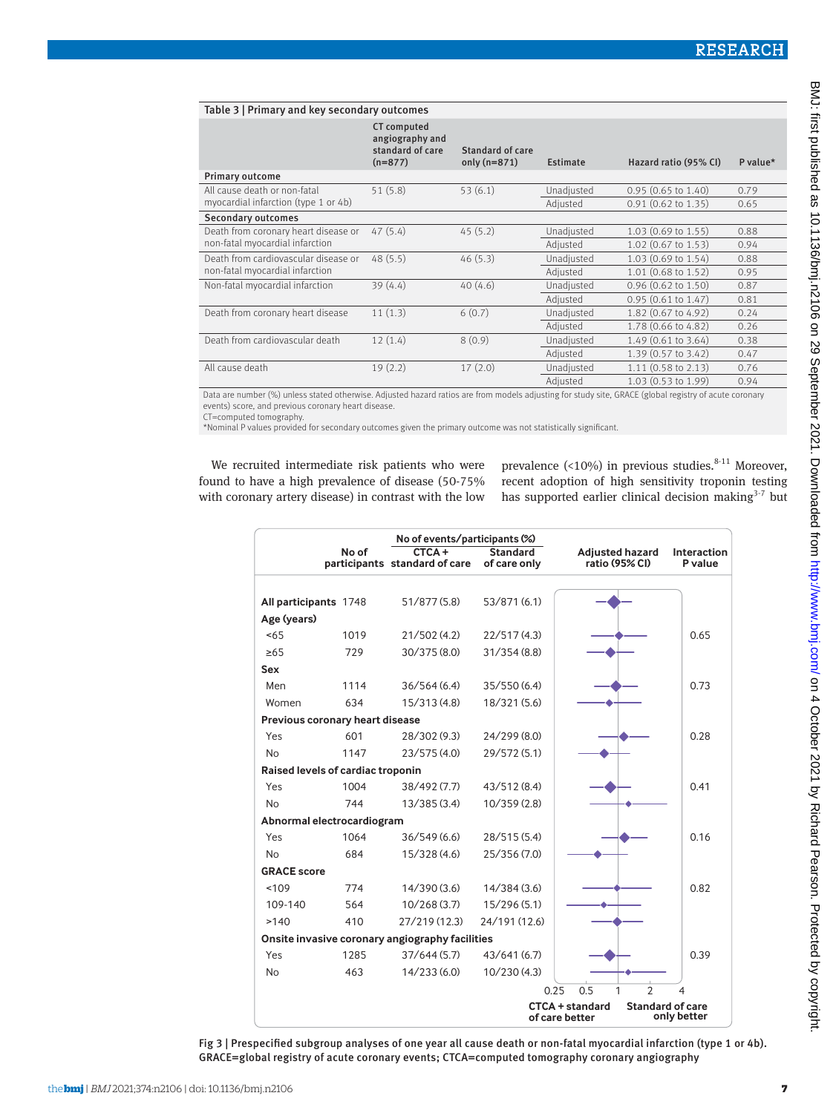| Table 3   Primary and key secondary outcomes |                                                                        |                                    |            |                               |          |
|----------------------------------------------|------------------------------------------------------------------------|------------------------------------|------------|-------------------------------|----------|
|                                              | <b>CT</b> computed<br>angiography and<br>standard of care<br>$(n=877)$ | Standard of care<br>only $(n=871)$ | Estimate   | Hazard ratio (95% CI)         | P value* |
| Primary outcome                              |                                                                        |                                    |            |                               |          |
| All cause death or non-fatal                 | 51(5.8)                                                                | 53(6.1)                            | Unadjusted | $0.95(0.65 \text{ to } 1.40)$ | 0.79     |
| myocardial infarction (type 1 or 4b)         |                                                                        |                                    | Adiusted   | $0.91$ (0.62 to 1.35)         | 0.65     |
| <b>Secondary outcomes</b>                    |                                                                        |                                    |            |                               |          |
| Death from coronary heart disease or         | 47(5.4)                                                                | 45(5.2)                            | Unadjusted | 1.03 (0.69 to 1.55)           | 0.88     |
| non-fatal myocardial infarction              |                                                                        |                                    | Adjusted   | 1.02 (0.67 to 1.53)           | 0.94     |
| Death from cardiovascular disease or         | 48(5.5)                                                                | 46(5.3)                            | Unadjusted | 1.03 (0.69 to 1.54)           | 0.88     |
| non-fatal myocardial infarction              |                                                                        |                                    | Adiusted   | 1.01 (0.68 to 1.52)           | 0.95     |
| Non-fatal myocardial infarction              | 39(4.4)                                                                | 40(4.6)                            | Unadjusted | $0.96$ (0.62 to 1.50)         | 0.87     |
|                                              |                                                                        |                                    | Adjusted   | $0.95$ (0.61 to 1.47)         | 0.81     |
| Death from coronary heart disease            | 11(1.3)                                                                | 6(0.7)                             | Unadjusted | 1.82 (0.67 to 4.92)           | 0.24     |
|                                              |                                                                        |                                    | Adjusted   | 1.78 (0.66 to 4.82)           | 0.26     |
| Death from cardiovascular death              | 12(1.4)                                                                | 8(0.9)                             | Unadjusted | 1.49 (0.61 to 3.64)           | 0.38     |
|                                              |                                                                        |                                    | Adjusted   | 1.39 (0.57 to 3.42)           | 0.47     |
| All cause death                              | 19(2.2)                                                                | 17(2.0)                            | Unadjusted | $1.11$ (0.58 to 2.13)         | 0.76     |
|                                              |                                                                        |                                    | Adiusted   | 1.03 (0.53 to 1.99)           | 0.94     |

Data are number (%) unless stated otherwise. Adjusted hazard ratios are from models adjusting for study site, GRACE (global registry of acute coronary events) score, and previous coronary heart disease.

CT=computed tomography. \*Nominal P values provided for secondary outcomes given the primary outcome was not statistically significant.

We recruited intermediate risk patients who were found to have a high prevalence of disease (50-75% with coronary artery disease) in contrast with the low prevalence (<10%) in previous studies. $8-11$  Moreover, recent adoption of high sensitivity troponin testing has supported earlier clinical decision making $3-7$  but

|                                   |       | No of events/participants (%)                   |                                 |                                          |                                        |
|-----------------------------------|-------|-------------------------------------------------|---------------------------------|------------------------------------------|----------------------------------------|
|                                   | No of | CTCA+<br>participants standard of care          | <b>Standard</b><br>of care only | <b>Adjusted hazard</b><br>ratio (95% CI) | Interaction<br>P value                 |
|                                   |       |                                                 |                                 |                                          |                                        |
| All participants 1748             |       | 51/877 (5.8)                                    | 53/871 (6.1)                    |                                          |                                        |
| Age (years)                       |       |                                                 |                                 |                                          |                                        |
| $5 - 65$                          | 1019  | 21/502(4.2)                                     | 22/517(4.3)                     |                                          | 0.65                                   |
| $\geq 65$                         | 729   | 30/375 (8.0)                                    | 31/354(8.8)                     |                                          |                                        |
| Sex                               |       |                                                 |                                 |                                          |                                        |
| Men                               | 1114  | 36/564(6.4)                                     | 35/550(6.4)                     |                                          | 0.73                                   |
| Women                             | 634   | 15/313(4.8)                                     | 18/321 (5.6)                    |                                          |                                        |
| Previous coronary heart disease   |       |                                                 |                                 |                                          |                                        |
| Yes                               | 601   | 28/302 (9.3)                                    | 24/299 (8.0)                    |                                          | 0.28                                   |
| <b>No</b>                         | 1147  | 23/575(4.0)                                     | 29/572 (5.1)                    |                                          |                                        |
| Raised levels of cardiac troponin |       |                                                 |                                 |                                          |                                        |
| Yes                               | 1004  | 38/492 (7.7)                                    | 43/512(8.4)                     |                                          | 0.41                                   |
| <b>No</b>                         | 744   | 13/385(3.4)                                     | 10/359(2.8)                     |                                          |                                        |
| Abnormal electrocardiogram        |       |                                                 |                                 |                                          |                                        |
| Yes                               | 1064  | 36/549(6.6)                                     | 28/515 (5.4)                    |                                          | 0.16                                   |
| <b>No</b>                         | 684   | 15/328 (4.6)                                    | 25/356 (7.0)                    |                                          |                                        |
| <b>GRACE</b> score                |       |                                                 |                                 |                                          |                                        |
| ~109                              | 774   | 14/390(3.6)                                     | 14/384(3.6)                     |                                          | 0.82                                   |
| 109-140                           | 564   | 10/268(3.7)                                     | 15/296(5.1)                     |                                          |                                        |
| >140                              | 410   | 27/219 (12.3)                                   | 24/191 (12.6)                   |                                          |                                        |
|                                   |       | Onsite invasive coronary angiography facilities |                                 |                                          |                                        |
| Yes                               | 1285  | 37/644(5.7)                                     | 43/641(6.7)                     |                                          | 0.39                                   |
| <b>No</b>                         | 463   | 14/233(6.0)                                     | 10/230(4.3)                     |                                          |                                        |
|                                   |       |                                                 |                                 | $\overline{2}$<br>1<br>0.25<br>0.5       | $\overline{4}$                         |
|                                   |       |                                                 |                                 | <b>CTCA + standard</b><br>of care better | <b>Standard of care</b><br>only better |

Fig 3 | Prespecified subgroup analyses of one year all cause death or non-fatal myocardial infarction (type 1 or 4b). GRACE=global registry of acute coronary events; CTCA=computed tomography coronary angiography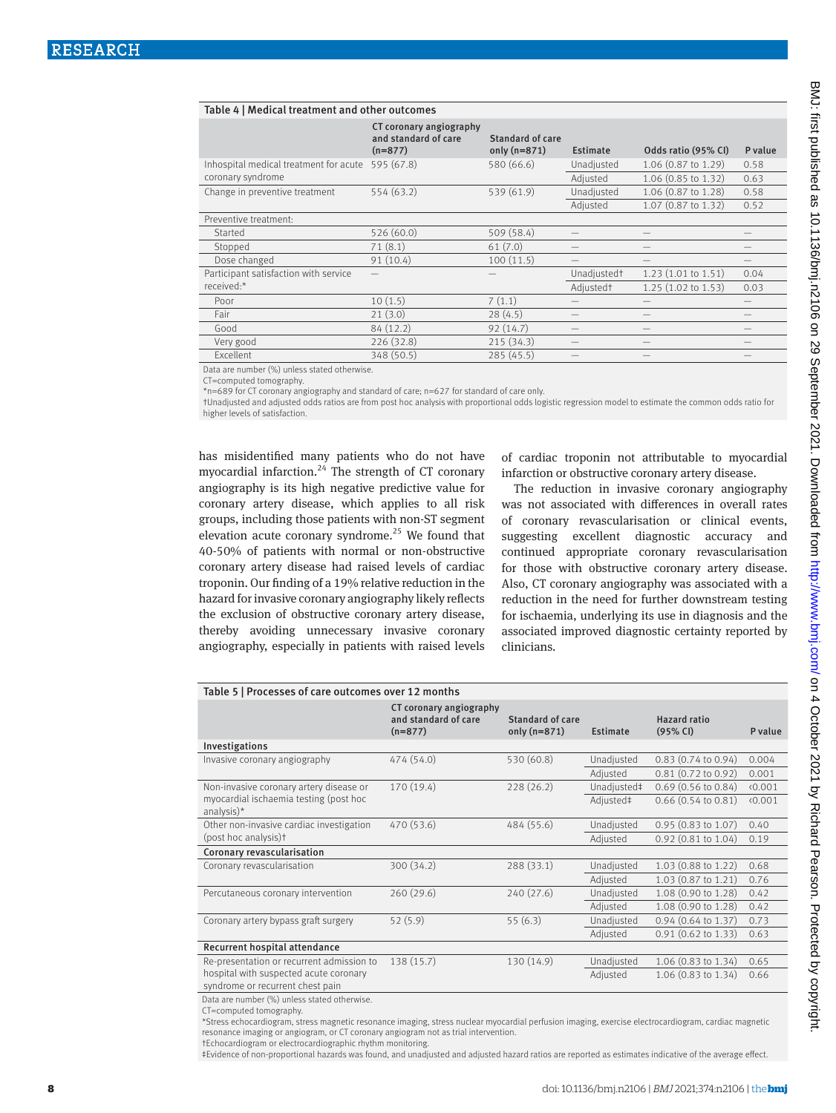| Table 4   Medical treatment and other outcomes |                                                              |                                    |                         |                               |         |
|------------------------------------------------|--------------------------------------------------------------|------------------------------------|-------------------------|-------------------------------|---------|
|                                                | CT coronary angiography<br>and standard of care<br>$(n=877)$ | Standard of care<br>only $(n=871)$ | Estimate                | Odds ratio (95% CI)           | P value |
| Inhospital medical treatment for acute         | 595 (67.8)                                                   | 580 (66.6)                         | Unadjusted              | 1.06 (0.87 to 1.29)           | 0.58    |
| coronary syndrome                              |                                                              |                                    | Adjusted                | 1.06 (0.85 to 1.32)           | 0.63    |
| Change in preventive treatment                 | 554 (63.2)                                                   | 539 (61.9)                         | Unadjusted              | 1.06 (0.87 to 1.28)           | 0.58    |
|                                                |                                                              |                                    | Adjusted                | 1.07 (0.87 to 1.32)           | 0.52    |
| Preventive treatment:                          |                                                              |                                    |                         |                               |         |
| Started                                        | 526 (60.0)                                                   | 509 (58.4)                         |                         |                               |         |
| Stopped                                        | 71(8.1)                                                      | 61(7.0)                            |                         |                               |         |
| Dose changed                                   | 91(10.4)                                                     | 100(11.5)                          |                         |                               |         |
| Participant satisfaction with service          |                                                              |                                    | Unadjusted <sup>+</sup> | 1.23(1.01 to 1.51)            | 0.04    |
| received:*                                     |                                                              |                                    | Adjusted <sup>+</sup>   | $1.25(1.02 \text{ to } 1.53)$ | 0.03    |
| Poor                                           | 10(1.5)                                                      | 7(1.1)                             |                         |                               |         |
| Fair                                           | 21(3.0)                                                      | 28(4.5)                            |                         |                               |         |
| Good                                           | 84 (12.2)                                                    | 92(14.7)                           |                         |                               |         |
| Very good                                      | 226 (32.8)                                                   | 215(34.3)                          |                         |                               |         |
| Excellent                                      | 348 (50.5)                                                   | 285(45.5)                          |                         |                               |         |

Data are number (%) unless stated otherwise.

CT=computed tomography.

\*n=689 for CT coronary angiography and standard of care; n=627 for standard of care only.

†Unadjusted and adjusted odds ratios are from post hoc analysis with proportional odds logistic regression model to estimate the common odds ratio for higher levels of satisfaction.

has misidentified many patients who do not have myocardial infarction.<sup>24</sup> The strength of CT coronary angiography is its high negative predictive value for coronary artery disease, which applies to all risk groups, including those patients with non-ST segment elevation acute coronary syndrome.<sup>25</sup> We found that 40-50% of patients with normal or non-obstructive coronary artery disease had raised levels of cardiac troponin. Our finding of a 19% relative reduction in the hazard for invasive coronary angiography likely reflects the exclusion of obstructive coronary artery disease, thereby avoiding unnecessary invasive coronary angiography, especially in patients with raised levels

of cardiac troponin not attributable to myocardial infarction or obstructive coronary artery disease.

The reduction in invasive coronary angiography was not associated with differences in overall rates of coronary revascularisation or clinical events, suggesting excellent diagnostic accuracy and continued appropriate coronary revascularisation for those with obstructive coronary artery disease. Also, CT coronary angiography was associated with a reduction in the need for further downstream testing for ischaemia, underlying its use in diagnosis and the associated improved diagnostic certainty reported by clinicians.

| Table 5   Processes of care outcomes over 12 months      |                                                              |                                    |             |                                 |         |
|----------------------------------------------------------|--------------------------------------------------------------|------------------------------------|-------------|---------------------------------|---------|
|                                                          | CT coronary angiography<br>and standard of care<br>$(n=877)$ | Standard of care<br>only $(n=871)$ | Estimate    | <b>Hazard ratio</b><br>(95% CI) | P value |
| Investigations                                           |                                                              |                                    |             |                                 |         |
| Invasive coronary angiography                            | 474 (54.0)                                                   | 530 (60.8)                         | Unadjusted  | $0.83(0.74 \text{ to } 0.94)$   | 0.004   |
|                                                          |                                                              |                                    | Adjusted    | $0.81$ $(0.72$ to $0.92)$       | 0.001   |
| Non-invasive coronary artery disease or                  | 170(19.4)                                                    | 228(26.2)                          | Unadjusted‡ | $0.69$ (0.56 to 0.84)           | 0.001   |
| myocardial ischaemia testing (post hoc<br>analysis $)^*$ |                                                              |                                    | Adjusted‡   | $0.66$ $(0.54$ to $0.81)$       | 0.001   |
| Other non-invasive cardiac investigation                 | 470 (53.6)                                                   | 484 (55.6)                         | Unadjusted  | $0.95$ (0.83 to 1.07)           | 0.40    |
| (post hoc analysis)t                                     |                                                              |                                    | Adjusted    | $0.92$ (0.81 to 1.04)           | 0.19    |
| Coronary revascularisation                               |                                                              |                                    |             |                                 |         |
| Coronary revascularisation                               | 300(34.2)                                                    | 288 (33.1)                         | Unadjusted  | 1.03 (0.88 to 1.22)             | 0.68    |
|                                                          |                                                              |                                    | Adjusted    | 1.03 (0.87 to 1.21)             | 0.76    |
| Percutaneous coronary intervention                       | 260(29.6)                                                    | 240(27.6)                          | Unadjusted  | 1.08 (0.90 to 1.28)             | 0.42    |
|                                                          |                                                              |                                    | Adjusted    | 1.08 (0.90 to 1.28)             | 0.42    |
| Coronary artery bypass graft surgery                     | 52(5.9)                                                      | 55(6.3)                            | Unadjusted  | $0.94$ (0.64 to 1.37)           | 0.73    |
|                                                          |                                                              |                                    | Adjusted    | $0.91$ $(0.62$ to $1.33)$       | 0.63    |
| Recurrent hospital attendance                            |                                                              |                                    |             |                                 |         |
| Re-presentation or recurrent admission to                | 138 (15.7)                                                   | 130 (14.9)                         | Unadjusted  | 1.06 (0.83 to 1.34)             | 0.65    |
| hospital with suspected acute coronary                   |                                                              |                                    | Adjusted    | 1.06 (0.83 to 1.34)             | 0.66    |
| syndrome or recurrent chest pain                         |                                                              |                                    |             |                                 |         |

Data are number (%) unless stated otherwise.

CT=computed tomography.

\*Stress echocardiogram, stress magnetic resonance imaging, stress nuclear myocardial perfusion imaging, exercise electrocardiogram, cardiac magnetic resonance imaging or angiogram, or CT coronary angiogram not as trial intervention.

†Echocardiogram or electrocardiographic rhythm monitoring.

‡Evidence of non-proportional hazards was found, and unadjusted and adjusted hazard ratios are reported as estimates indicative of the average effect.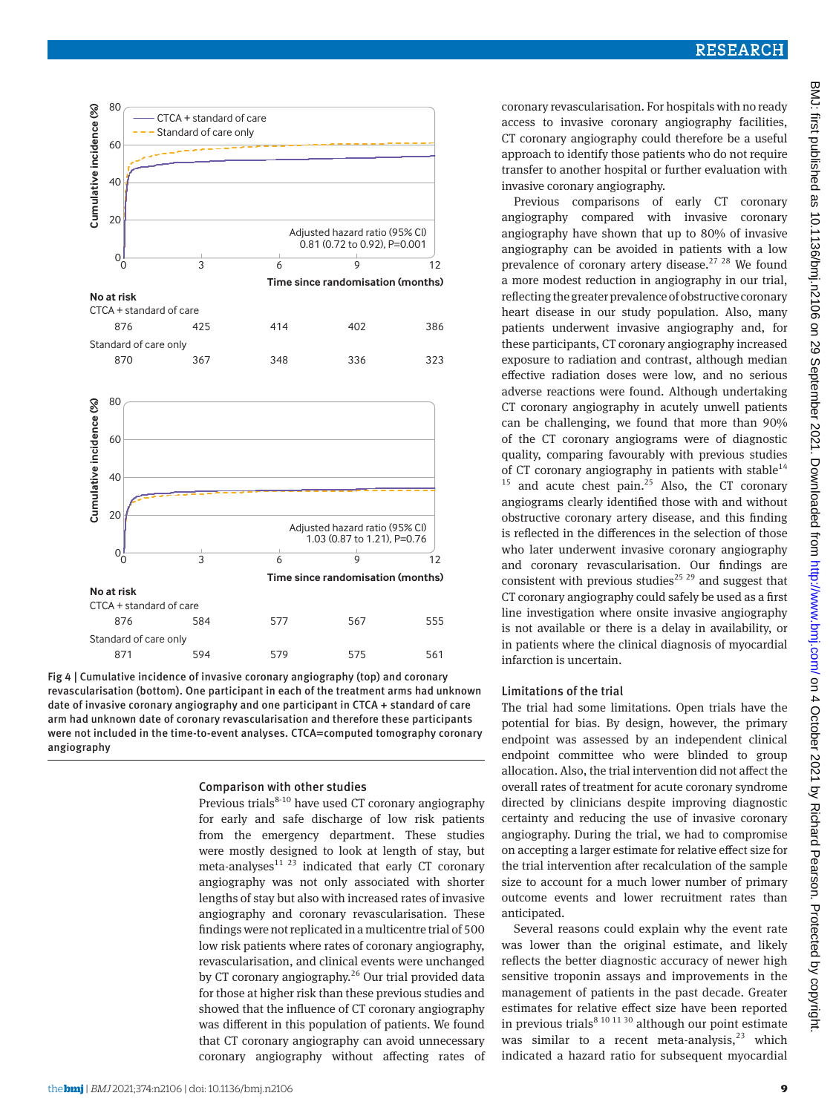

Fig 4 | Cumulative incidence of invasive coronary angiography (top) and coronary revascularisation (bottom). One participant in each of the treatment arms had unknown date of invasive coronary angiography and one participant in CTCA + standard of care arm had unknown date of coronary revascularisation and therefore these participants were not included in the time-to-event analyses. CTCA=computed tomography coronary angiography

# Comparison with other studies

Previous trials $8-10$  have used CT coronary angiography for early and safe discharge of low risk patients from the emergency department. These studies were mostly designed to look at length of stay, but meta-analyses $^{11}$  <sup>23</sup> indicated that early CT coronary angiography was not only associated with shorter lengths of stay but also with increased rates of invasive angiography and coronary revascularisation. These findings were not replicated in a multicentre trial of 500 low risk patients where rates of coronary angiography, revascularisation, and clinical events were unchanged by CT coronary angiography.<sup>26</sup> Our trial provided data for those at higher risk than these previous studies and showed that the influence of CT coronary angiography was different in this population of patients. We found that CT coronary angiography can avoid unnecessary coronary angiography without affecting rates of

Previous comparisons of early CT coronary angiography compared with invasive coronary angiography have shown that up to 80% of invasive angiography can be avoided in patients with a low prevalence of coronary artery disease.<sup>27 28</sup> We found a more modest reduction in angiography in our trial, reflecting the greater prevalence of obstructive coronary heart disease in our study population. Also, many patients underwent invasive angiography and, for these participants, CT coronary angiography increased exposure to radiation and contrast, although median effective radiation doses were low, and no serious adverse reactions were found. Although undertaking CT coronary angiography in acutely unwell patients can be challenging, we found that more than 90% of the CT coronary angiograms were of diagnostic quality, comparing favourably with previous studies of CT coronary angiography in patients with stable<sup>14</sup>  $15$  and acute chest pain.<sup>25</sup> Also, the CT coronary angiograms clearly identified those with and without obstructive coronary artery disease, and this finding is reflected in the differences in the selection of those who later underwent invasive coronary angiography and coronary revascularisation. Our findings are consistent with previous studies<sup>25, 29</sup> and suggest that CT coronary angiography could safely be used as a first line investigation where onsite invasive angiography is not available or there is a delay in availability, or in patients where the clinical diagnosis of myocardial infarction is uncertain.

#### Limitations of the trial

The trial had some limitations. Open trials have the potential for bias. By design, however, the primary endpoint was assessed by an independent clinical endpoint committee who were blinded to group allocation. Also, the trial intervention did not affect the overall rates of treatment for acute coronary syndrome directed by clinicians despite improving diagnostic certainty and reducing the use of invasive coronary angiography. During the trial, we had to compromise on accepting a larger estimate for relative effect size for the trial intervention after recalculation of the sample size to account for a much lower number of primary outcome events and lower recruitment rates than anticipated.

Several reasons could explain why the event rate was lower than the original estimate, and likely reflects the better diagnostic accuracy of newer high sensitive troponin assays and improvements in the management of patients in the past decade. Greater estimates for relative effect size have been reported in previous trials<sup>8 10 11 30</sup> although our point estimate was similar to a recent meta-analysis, $2^3$  which indicated a hazard ratio for subsequent myocardial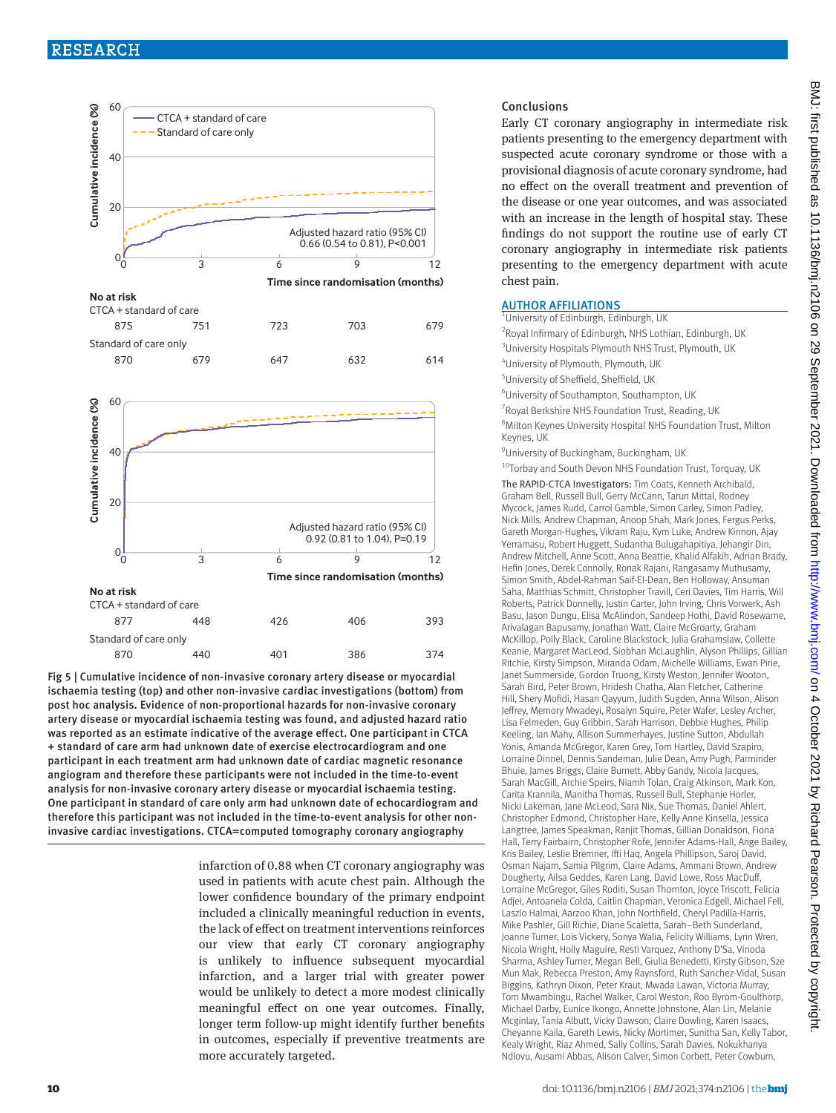



Fig 5 | Cumulative incidence of non-invasive coronary artery disease or myocardial ischaemia testing (top) and other non-invasive cardiac investigations (bottom) from post hoc analysis. Evidence of non-proportional hazards for non-invasive coronary artery disease or myocardial ischaemia testing was found, and adjusted hazard ratio was reported as an estimate indicative of the average effect. One participant in CTCA + standard of care arm had unknown date of exercise electrocardiogram and one participant in each treatment arm had unknown date of cardiac magnetic resonance angiogram and therefore these participants were not included in the time-to-event analysis for non-invasive coronary artery disease or myocardial ischaemia testing. One participant in standard of care only arm had unknown date of echocardiogram and therefore this participant was not included in the time-to-event analysis for other noninvasive cardiac investigations. CTCA=computed tomography coronary angiography

> infarction of 0.88 when CT coronary angiography was used in patients with acute chest pain. Although the lower confidence boundary of the primary endpoint included a clinically meaningful reduction in events, the lack of effect on treatment interventions reinforces our view that early CT coronary angiography is unlikely to influence subsequent myocardial infarction, and a larger trial with greater power would be unlikely to detect a more modest clinically meaningful effect on one year outcomes. Finally, longer term follow-up might identify further benefits in outcomes, especially if preventive treatments are more accurately targeted.

#### Conclusions

Early CT coronary angiography in intermediate risk patients presenting to the emergency department with suspected acute coronary syndrome or those with a provisional diagnosis of acute coronary syndrome, had no effect on the overall treatment and prevention of the disease or one year outcomes, and was associated with an increase in the length of hospital stay. These findings do not support the routine use of early CT coronary angiography in intermediate risk patients presenting to the emergency department with acute chest pain.

#### AUTHOR AFFILIATIONS

| <sup>1</sup> University of Edinburgh, Edinburgh, UK                                                                                                                                            |
|------------------------------------------------------------------------------------------------------------------------------------------------------------------------------------------------|
| <sup>2</sup> Royal Infirmary of Edinburgh, NHS Lothian, Edinburgh, UK                                                                                                                          |
| <sup>3</sup> University Hospitals Plymouth NHS Trust, Plymouth, UK                                                                                                                             |
| <sup>4</sup> University of Plymouth, Plymouth, UK                                                                                                                                              |
| <sup>5</sup> University of Sheffield, Sheffield, UK                                                                                                                                            |
| <sup>6</sup> University of Southampton, Southampton, UK                                                                                                                                        |
| Royal Berkshire NHS Foundation Trust, Reading, UK                                                                                                                                              |
| <sup>8</sup> Milton Keynes University Hospital NHS Foundation Trust, Milton<br>Keynes, UK                                                                                                      |
| <sup>9</sup> University of Buckingham, Buckingham, UK                                                                                                                                          |
| <sup>10</sup> Torbay and South Devon NHS Foundation Trust, Torquay, UK                                                                                                                         |
| The RAPID-CTCA Investigators: Tim Coats, Kenneth Archibald,<br>Graham Bell, Russell Bull, Gerry McCann, Tarun Mittal, Rodney<br>Mycock, James Rudd, Carrol Gamble, Simon Carley, Simon Padley, |

Graham Bell, Russell Bull, Gerry McCann, Tarun Mittal, Rodney Mycock, James Rudd, Carrol Gamble, Simon Carley, Simon Padley, Nick Mills, Andrew Chapman, Anoop Shah, Mark Jones, Fergus Perks, Gareth Morgan-Hughes, Vikram Raju, Kym Luke, Andrew Kinnon, Ajay Yerramasu, Robert Huggett, Sudantha Bulugahapitiya, Jehangir Din, Andrew Mitchell, Anne Scott, Anna Beattie, Khalid Alfakih, Adrian Brady, Hefin Jones, Derek Connolly, Ronak Rajani, Rangasamy Muthusamy, Simon Smith, Abdel-Rahman Saif-El-Dean, Ben Holloway, Ansuman Saha, Matthias Schmitt, Christopher Travill, Ceri Davies, Tim Harris, Will Roberts, Patrick Donnelly, Justin Carter, John Irving, Chris Vorwerk, Ash Basu, Jason Dungu, Elisa McAlindon, Sandeep Hothi, David Rosewarne, Arivalagan Bapusamy, Jonathan Watt, Claire McGroarty, Graham McKillop, Polly Black, Caroline Blackstock, Julia Grahamslaw, Collette Keanie, Margaret MacLeod, Siobhan McLaughlin, Alyson Phillips, Gillian Ritchie, Kirsty Simpson, Miranda Odam, Michelle Williams, Ewan Pirie, Janet Summerside, Gordon Truong, Kirsty Weston, Jennifer Wooton, Sarah Bird, Peter Brown, Hridesh Chatha, Alan Fletcher, Catherine Hill, Shery Mofidi, Hasan Qayyum, Judith Sugden, Anna Wilson, Alison Jeffrey, Memory Mwadeyi, Rosalyn Squire, Peter Wafer, Lesley Archer, Lisa Felmeden, Guy Gribbin, Sarah Harrison, Debbie Hughes, Philip Keeling, Ian Mahy, Allison Summerhayes, Justine Sutton, Abdullah Yonis, Amanda McGregor, Karen Grey, Tom Hartley, David Szapiro, Lorraine Dinnel, Dennis Sandeman, Julie Dean, Amy Pugh, Parminder Bhuie, James Briggs, Claire Burnett, Abby Gandy, Nicola Jacques, Sarah MacGill, Archie Speirs, Niamh Tolan, Craig Atkinson, Mark Kon, Carita Krannila, Manitha Thomas, Russell Bull, Stephanie Horler, Nicki Lakeman, Jane McLeod, Sara Nix, Sue Thomas, Daniel Ahlert, Christopher Edmond, Christopher Hare, Kelly Anne Kinsella, Jessica Langtree, James Speakman, Ranjit Thomas, Gillian Donaldson, Fiona Hall, Terry Fairbairn, Christopher Rofe, Jennifer Adams-Hall, Ange Bailey, Kris Bailey, Leslie Bremner, Ifti Haq, Angela Phillipson, Saroj David, Osman Najam, Samia Pilgrim, Claire Adams, Ammani Brown, Andrew Dougherty, Ailsa Geddes, Karen Lang, David Lowe, Ross MacDuff, Lorraine McGregor, Giles Roditi, Susan Thornton, Joyce Triscott, Felicia Adjei, Antoanela Colda, Caitlin Chapman, Veronica Edgell, Michael Fell, Laszlo Halmai, Aarzoo Khan, John Northfield, Cheryl Padilla-Harris, Mike Pashler, Gill Richie, Diane Scaletta, Sarah–Beth Sunderland, Joanne Turner, Lois Vickery, Sonya Walia, Felicity Williams, Lynn Wren, Nicola Wright, Holly Maguire, Resti Varquez, Anthony D'Sa, Vinoda Sharma, Ashley Turner, Megan Bell, Giulia Benedetti, Kirsty Gibson, Sze Mun Mak, Rebecca Preston, Amy Raynsford, Ruth Sanchez-Vidal, Susan Biggins, Kathryn Dixon, Peter Kraut, Mwada Lawan, Victoria Murray, Tom Mwambingu, Rachel Walker, Carol Weston, Roo Byrom-Goulthorp, Michael Darby, Eunice Ikongo, Annette Johnstone, Alan Lin, Melanie Mcginlay, Tania Albutt, Vicky Dawson, Claire Dowling, Karen Isaacs, Cheyanne Kaila, Gareth Lewis, Nicky Mortimer, Sunitha San, Kelly Tabor, Kealy Wright, Riaz Ahmed, Sally Collins, Sarah Davies, Nokukhanya Ndlovu, Ausami Abbas, Alison Calver, Simon Corbett, Peter Cowburn,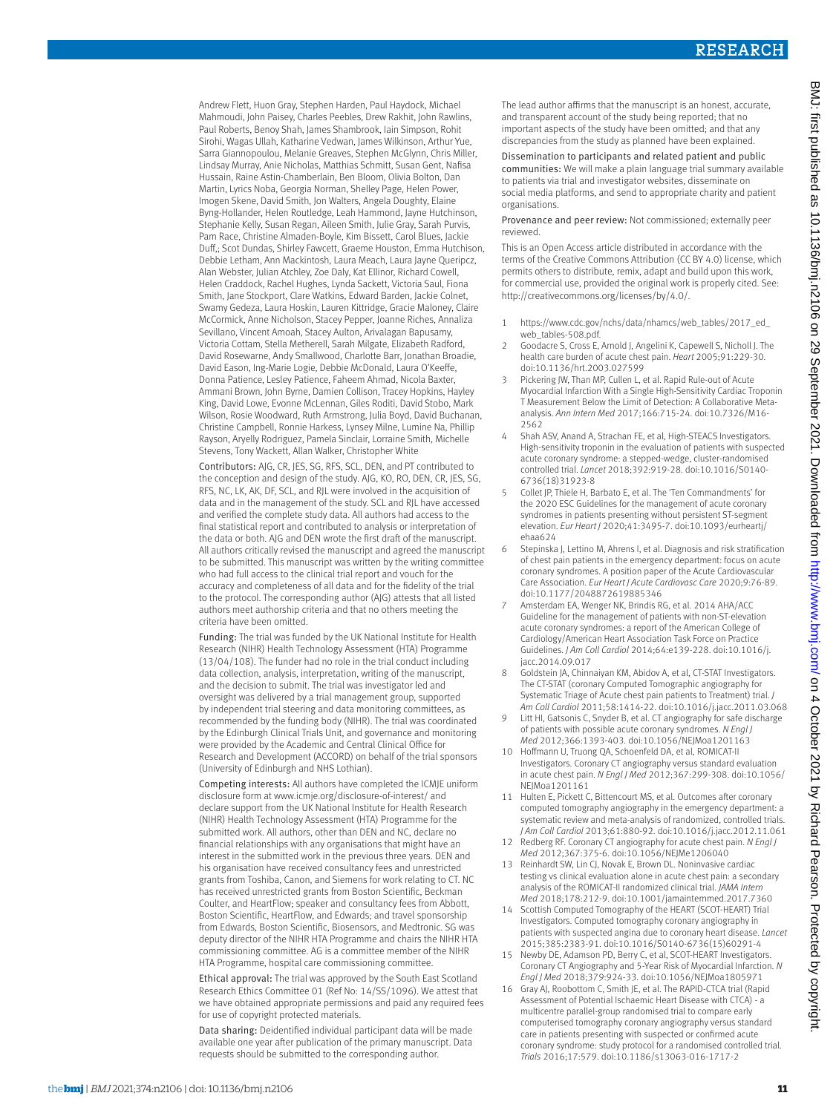Andrew Flett, Huon Gray, Stephen Harden, Paul Haydock, Michael Mahmoudi, John Paisey, Charles Peebles, Drew Rakhit, John Rawlins, Paul Roberts, Benoy Shah, James Shambrook, Iain Simpson, Rohit Sirohi, Wagas Ullah, Katharine Vedwan, James Wilkinson, Arthur Yue, Sarra Giannopoulou, Melanie Greaves, Stephen McGlynn, Chris Miller, Lindsay Murray, Anie Nicholas, Matthias Schmitt, Susan Gent, Nafisa Hussain, Raine Astin-Chamberlain, Ben Bloom, Olivia Bolton, Dan Martin, Lyrics Noba, Georgia Norman, Shelley Page, Helen Power, Imogen Skene, David Smith, Jon Walters, Angela Doughty, Elaine Byng-Hollander, Helen Routledge, Leah Hammond, Jayne Hutchinson, Stephanie Kelly, Susan Regan, Aileen Smith, Julie Gray, Sarah Purvis, Pam Race, Christine Almaden-Boyle, Kim Bissett, Carol Blues, Jackie Duff,; Scot Dundas, Shirley Fawcett, Graeme Houston, Emma Hutchison, Debbie Letham, Ann Mackintosh, Laura Meach, Laura Jayne Queripcz, Alan Webster, Julian Atchley, Zoe Daly, Kat Ellinor, Richard Cowell, Helen Craddock, Rachel Hughes, Lynda Sackett, Victoria Saul, Fiona Smith, Jane Stockport, Clare Watkins, Edward Barden, Jackie Colnet, Swamy Gedeza, Laura Hoskin, Lauren Kittridge, Gracie Maloney, Claire McCormick, Anne Nicholson, Stacey Pepper, Joanne Riches, Annaliza Sevillano, Vincent Amoah, Stacey Aulton, Arivalagan Bapusamy, Victoria Cottam, Stella Metherell, Sarah Milgate, Elizabeth Radford, David Rosewarne, Andy Smallwood, Charlotte Barr, Jonathan Broadie, David Eason, Ing-Marie Logie, Debbie McDonald, Laura O'Keeffe, Donna Patience, Lesley Patience, Faheem Ahmad, Nicola Baxter, Ammani Brown, John Byrne, Damien Collison, Tracey Hopkins, Hayley King, David Lowe, Evonne McLennan, Giles Roditi, David Stobo, Mark Wilson, Rosie Woodward, Ruth Armstrong, Julia Boyd, David Buchanan, Christine Campbell, Ronnie Harkess, Lynsey Milne, Lumine Na, Phillip Rayson, Aryelly Rodriguez, Pamela Sinclair, Lorraine Smith, Michelle Stevens, Tony Wackett, Allan Walker, Christopher White

Contributors: AJG, CR, JES, SG, RFS, SCL, DEN, and PT contributed to the conception and design of the study. AJG, KO, RO, DEN, CR, JES, SG, RFS, NC, LK, AK, DF, SCL, and RJL were involved in the acquisition of data and in the management of the study. SCL and RJL have accessed and verified the complete study data. All authors had access to the final statistical report and contributed to analysis or interpretation of the data or both. AJG and DEN wrote the first draft of the manuscript. All authors critically revised the manuscript and agreed the manuscript to be submitted. This manuscript was written by the writing committee who had full access to the clinical trial report and vouch for the accuracy and completeness of all data and for the fidelity of the trial to the protocol. The corresponding author (AJG) attests that all listed authors meet authorship criteria and that no others meeting the criteria have been omitted.

Funding: The trial was funded by the UK National Institute for Health Research (NIHR) Health Technology Assessment (HTA) Programme (13/04/108). The funder had no role in the trial conduct including data collection, analysis, interpretation, writing of the manuscript, and the decision to submit. The trial was investigator led and oversight was delivered by a trial management group, supported by independent trial steering and data monitoring committees, as recommended by the funding body (NIHR). The trial was coordinated by the Edinburgh Clinical Trials Unit, and governance and monitoring were provided by the Academic and Central Clinical Office for Research and Development (ACCORD) on behalf of the trial sponsors (University of Edinburgh and NHS Lothian).

Competing interests: All authors have completed the ICMJE uniform disclosure form at [www.icmje.org/disclosure-of-interest/](http://www.icmje.org/disclosure-of-interest/) and declare support from the UK National Institute for Health Research (NIHR) Health Technology Assessment (HTA) Programme for the submitted work. All authors, other than DEN and NC, declare no financial relationships with any organisations that might have an interest in the submitted work in the previous three years. DEN and his organisation have received consultancy fees and unrestricted grants from Toshiba, Canon, and Siemens for work relating to CT. NC has received unrestricted grants from Boston Scientific, Beckman Coulter, and HeartFlow; speaker and consultancy fees from Abbott, Boston Scientific, HeartFlow, and Edwards; and travel sponsorship from Edwards, Boston Scientific, Biosensors, and Medtronic. SG was deputy director of the NIHR HTA Programme and chairs the NIHR HTA commissioning committee. AG is a committee member of the NIHR HTA Programme, hospital care commissioning committee.

Ethical approval: The trial was approved by the South East Scotland Research Ethics Committee 01 (Ref No: 14/SS/1096). We attest that we have obtained appropriate permissions and paid any required fees for use of copyright protected materials.

Data sharing: Deidentified individual participant data will be made available one year after publication of the primary manuscript. Data requests should be submitted to the corresponding author.

The lead author affirms that the manuscript is an honest, accurate and transparent account of the study being reported; that no important aspects of the study have been omitted; and that any discrepancies from the study as planned have been explained.

Dissemination to participants and related patient and public communities: We will make a plain language trial summary available to patients via trial and investigator websites, disseminate on social media platforms, and send to appropriate charity and patient organisations.

Provenance and peer review: Not commissioned; externally peer reviewed.

This is an Open Access article distributed in accordance with the terms of the Creative Commons Attribution (CC BY 4.0) license, which permits others to distribute, remix, adapt and build upon this work, for commercial use, provided the original work is properly cited. See: <http://creativecommons.org/licenses/by/4.0/>.

- 1 https://www.cdc.gov/nchs/data/nhamcs/web\_tables/2017\_ed\_ web\_tables-508.pdf.
- 2 Goodacre S, Cross E, Arnold J, Angelini K, Capewell S, Nicholl J. The health care burden of acute chest pain. *Heart* 2005;91:229-30. doi:10.1136/hrt.2003.027599
- 3 Pickering JW, Than MP, Cullen L, et al. Rapid Rule-out of Acute Myocardial Infarction With a Single High-Sensitivity Cardiac Troponin T Measurement Below the Limit of Detection: A Collaborative Metaanalysis. *Ann Intern Med* 2017;166:715-24. doi:10.7326/M16- 2562
- 4 Shah ASV, Anand A, Strachan FE, et al, High-STEACS Investigators. High-sensitivity troponin in the evaluation of patients with suspected acute coronary syndrome: a stepped-wedge, cluster-randomised controlled trial. *Lancet* 2018;392:919-28. doi:10.1016/S0140- 6736(18)31923-8
- 5 Collet JP, Thiele H, Barbato E, et al. The 'Ten Commandments' for the 2020 ESC Guidelines for the management of acute coronary syndromes in patients presenting without persistent ST-segment elevation. *Eur Heart J* 2020;41:3495-7. doi:10.1093/eurheartj/ ehaa624
- 6 Stepinska J, Lettino M, Ahrens I, et al. Diagnosis and risk stratification of chest pain patients in the emergency department: focus on acute coronary syndromes. A position paper of the Acute Cardiovascular Care Association. *Eur Heart J Acute Cardiovasc Care* 2020;9:76-89. doi:10.1177/2048872619885346
- 7 Amsterdam EA, Wenger NK, Brindis RG, et al. 2014 AHA/ACC Guideline for the management of patients with non-ST-elevation acute coronary syndromes: a report of the American College of Cardiology/American Heart Association Task Force on Practice Guidelines. *J Am Coll Cardiol* 2014;64:e139-228. doi:10.1016/j. jacc.2014.09.017
- 8 Goldstein JA, Chinnaiyan KM, Abidov A, et al, CT-STAT Investigators. The CT-STAT (coronary Computed Tomographic angiography for Systematic Triage of Acute chest pain patients to Treatment) trial. *J Am Coll Cardiol* 2011;58:1414-22. doi:10.1016/j.jacc.2011.03.068
- 9 Litt HI, Gatsonis C, Snyder B, et al. CT angiography for safe discharge of patients with possible acute coronary syndromes. *N Engl J Med* 2012;366:1393-403. doi:10.1056/NEJMoa1201163
- 10 Hoffmann U, Truong QA, Schoenfeld DA, et al, ROMICAT-II Investigators. Coronary CT angiography versus standard evaluation in acute chest pain. *N Engl J Med* 2012;367:299-308. doi:10.1056/ NEJMoa1201161
- 11 Hulten E, Pickett C, Bittencourt MS, et al. Outcomes after coronary computed tomography angiography in the emergency department: a systematic review and meta-analysis of randomized, controlled trials. *J Am Coll Cardiol* 2013;61:880-92. doi:10.1016/j.jacc.2012.11.061
- 12 Redberg RF. Coronary CT angiography for acute chest pain. *N Engl J Med* 2012;367:375-6. doi:10.1056/NEJMe1206040
- 13 Reinhardt SW, Lin CJ, Novak E, Brown DL. Noninvasive cardiac testing vs clinical evaluation alone in acute chest pain: a secondary analysis of the ROMICAT-II randomized clinical trial. *JAMA Intern Med* 2018;178:212-9. doi:10.1001/jamainternmed.2017.7360
- 14 Scottish Computed Tomography of the HEART (SCOT-HEART) Trial Investigators. Computed tomography coronary angiography in patients with suspected angina due to coronary heart disease. *Lancet*  2015;385:2383-91. doi:10.1016/S0140-6736(15)60291-4
- 15 Newby DE, Adamson PD, Berry C, et al, SCOT-HEART Investigators. Coronary CT Angiography and 5-Year Risk of Myocardial Infarction. *N Engl J Med* 2018;379:924-33. doi:10.1056/NEJMoa1805971
- 16 Gray AJ, Roobottom C, Smith JE, et al. The RAPID-CTCA trial (Rapid Assessment of Potential Ischaemic Heart Disease with CTCA) - a multicentre parallel-group randomised trial to compare early computerised tomography coronary angiography versus standard care in patients presenting with suspected or confirmed acute coronary syndrome: study protocol for a randomised controlled trial. *Trials* 2016;17:579. doi:10.1186/s13063-016-1717-2